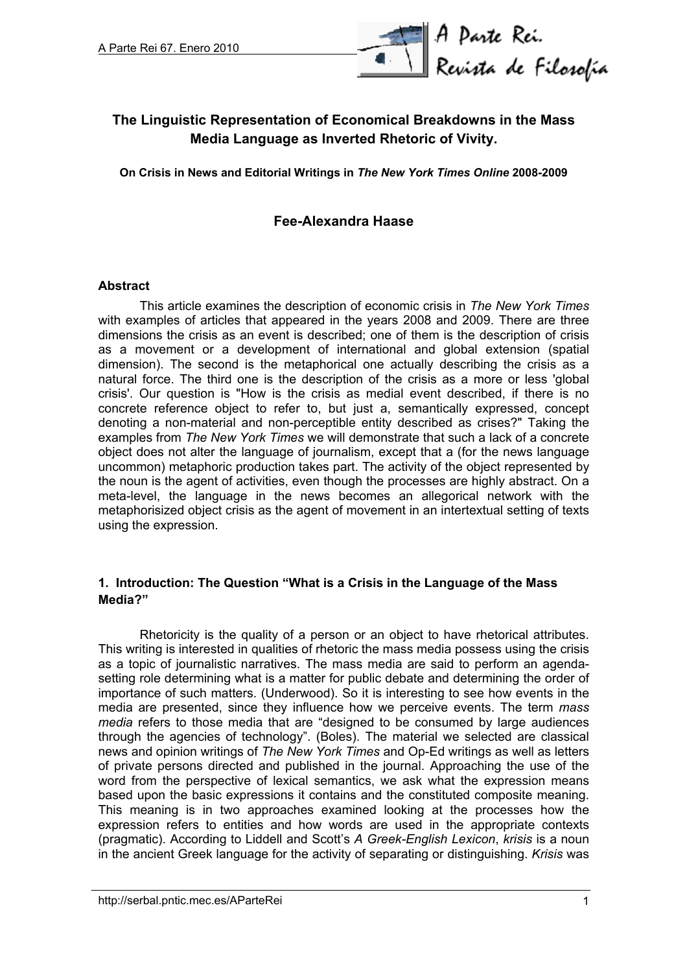

# **The Linguistic Representation of Economical Breakdowns in the Mass Media Language as Inverted Rhetoric of Vivity.**

**On Crisis in News and Editorial Writings in** *The New York Times Online* **2008-2009**

## **Fee-Alexandra Haase**

#### **Abstract**

This article examines the description of economic crisis in *The New York Times* with examples of articles that appeared in the years 2008 and 2009. There are three dimensions the crisis as an event is described; one of them is the description of crisis as a movement or a development of international and global extension (spatial dimension). The second is the metaphorical one actually describing the crisis as a natural force. The third one is the description of the crisis as a more or less 'global crisis'. Our question is "How is the crisis as medial event described, if there is no concrete reference object to refer to, but just a, semantically expressed, concept denoting a non-material and non-perceptible entity described as crises?" Taking the examples from *The New York Times* we will demonstrate that such a lack of a concrete object does not alter the language of journalism, except that a (for the news language uncommon) metaphoric production takes part. The activity of the object represented by the noun is the agent of activities, even though the processes are highly abstract. On a meta-level, the language in the news becomes an allegorical network with the metaphorisized object crisis as the agent of movement in an intertextual setting of texts using the expression.

### **1. Introduction: The Question "What is a Crisis in the Language of the Mass Media?"**

Rhetoricity is the quality of a person or an object to have rhetorical attributes. This writing is interested in qualities of rhetoric the mass media possess using the crisis as a topic of journalistic narratives. The mass media are said to perform an agendasetting role determining what is a matter for public debate and determining the order of importance of such matters. (Underwood). So it is interesting to see how events in the media are presented, since they influence how we perceive events. The term *mass media* refers to those media that are "designed to be consumed by large audiences through the agencies of technology". (Boles). The material we selected are classical news and opinion writings of *The New York Times* and Op-Ed writings as well as letters of private persons directed and published in the journal. Approaching the use of the word from the perspective of lexical semantics, we ask what the expression means based upon the basic expressions it contains and the constituted composite meaning. This meaning is in two approaches examined looking at the processes how the expression refers to entities and how words are used in the appropriate contexts (pragmatic). According to Liddell and Scott's *A Greek-English Lexicon*, *krisis* is a noun in the ancient Greek language for the activity of separating or distinguishing. *Krisis* was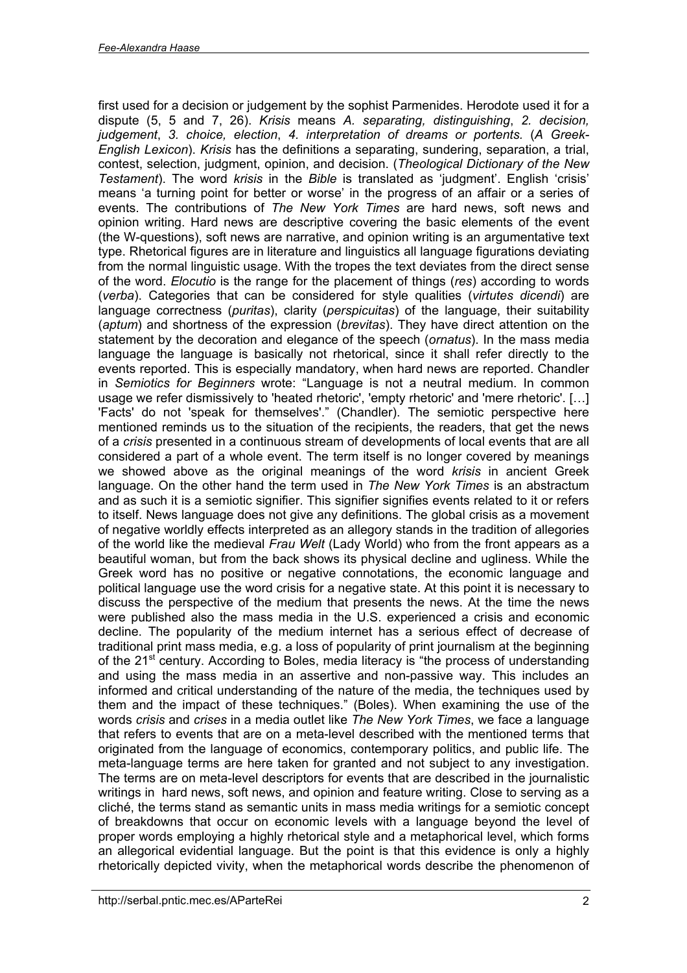first used for a decision or judgement by the sophist Parmenides. Herodote used it for a dispute (5, 5 and 7, 26). *Krisis* means *A. separating, distinguishing*, *2. decision, judgement*, *3. choice, election*, *4. interpretation of dreams or portents.* (*A Greek-English Lexicon*). *Krisis* has the definitions a separating, sundering, separation, a trial, contest, selection, judgment, opinion, and decision. (*Theological Dictionary of the New Testament*). The word *krisis* in the *Bible* is translated as 'judgment'. English 'crisis' means 'a turning point for better or worse' in the progress of an affair or a series of events. The contributions of *The New York Times* are hard news, soft news and opinion writing. Hard news are descriptive covering the basic elements of the event (the W-questions), soft news are narrative, and opinion writing is an argumentative text type. Rhetorical figures are in literature and linguistics all language figurations deviating from the normal linguistic usage. With the tropes the text deviates from the direct sense of the word. *Elocutio* is the range for the placement of things (*res*) according to words (*verba*). Categories that can be considered for style qualities (*virtutes dicendi*) are language correctness (*puritas*), clarity (*perspicuitas*) of the language, their suitability (*aptum*) and shortness of the expression (*brevitas*). They have direct attention on the statement by the decoration and elegance of the speech (*ornatus*). In the mass media language the language is basically not rhetorical, since it shall refer directly to the events reported. This is especially mandatory, when hard news are reported. Chandler in *Semiotics for Beginners* wrote: "Language is not a neutral medium. In common usage we refer dismissively to 'heated rhetoric', 'empty rhetoric' and 'mere rhetoric'. […] 'Facts' do not 'speak for themselves'." (Chandler). The semiotic perspective here mentioned reminds us to the situation of the recipients, the readers, that get the news of a *crisis* presented in a continuous stream of developments of local events that are all considered a part of a whole event. The term itself is no longer covered by meanings we showed above as the original meanings of the word *krisis* in ancient Greek language. On the other hand the term used in *The New York Times* is an abstractum and as such it is a semiotic signifier. This signifier signifies events related to it or refers to itself. News language does not give any definitions. The global crisis as a movement of negative worldly effects interpreted as an allegory stands in the tradition of allegories of the world like the medieval *Frau Welt* (Lady World) who from the front appears as a beautiful woman, but from the back shows its physical decline and ugliness. While the Greek word has no positive or negative connotations, the economic language and political language use the word crisis for a negative state. At this point it is necessary to discuss the perspective of the medium that presents the news. At the time the news were published also the mass media in the U.S. experienced a crisis and economic decline. The popularity of the medium internet has a serious effect of decrease of traditional print mass media, e.g. a loss of popularity of print journalism at the beginning of the 21<sup>st</sup> century. According to Boles, media literacy is "the process of understanding and using the mass media in an assertive and non-passive way. This includes an informed and critical understanding of the nature of the media, the techniques used by them and the impact of these techniques." (Boles). When examining the use of the words *crisis* and *crises* in a media outlet like *The New York Times*, we face a language that refers to events that are on a meta-level described with the mentioned terms that originated from the language of economics, contemporary politics, and public life. The meta-language terms are here taken for granted and not subject to any investigation. The terms are on meta-level descriptors for events that are described in the journalistic writings in hard news, soft news, and opinion and feature writing. Close to serving as a cliché, the terms stand as semantic units in mass media writings for a semiotic concept of breakdowns that occur on economic levels with a language beyond the level of proper words employing a highly rhetorical style and a metaphorical level, which forms an allegorical evidential language. But the point is that this evidence is only a highly rhetorically depicted vivity, when the metaphorical words describe the phenomenon of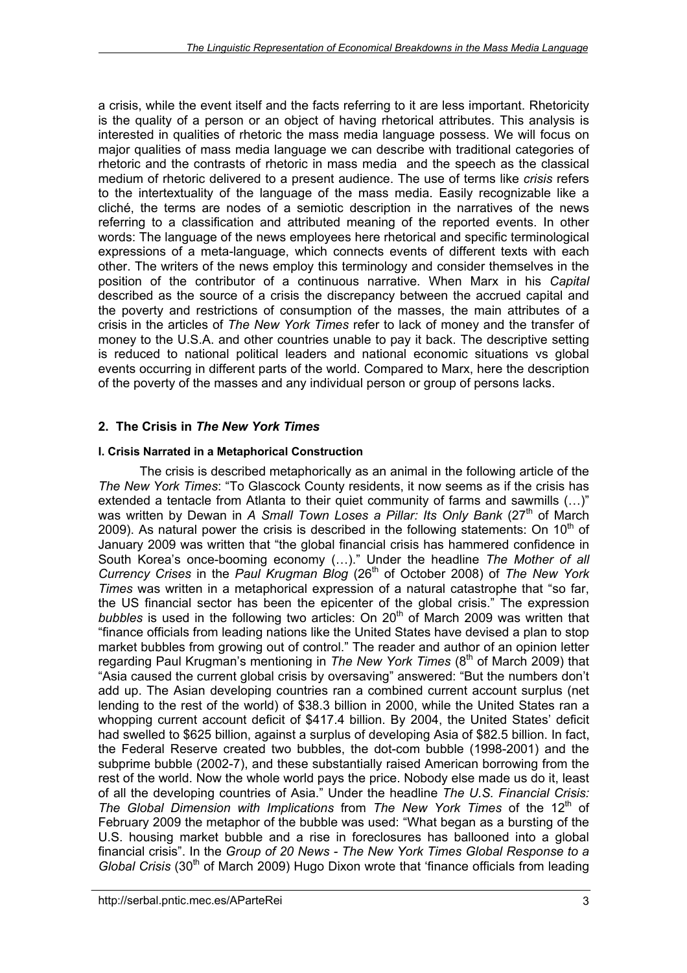a crisis, while the event itself and the facts referring to it are less important. Rhetoricity is the quality of a person or an object of having rhetorical attributes. This analysis is interested in qualities of rhetoric the mass media language possess. We will focus on major qualities of mass media language we can describe with traditional categories of rhetoric and the contrasts of rhetoric in mass media and the speech as the classical medium of rhetoric delivered to a present audience. The use of terms like *crisis* refers to the intertextuality of the language of the mass media. Easily recognizable like a cliché, the terms are nodes of a semiotic description in the narratives of the news referring to a classification and attributed meaning of the reported events. In other words: The language of the news employees here rhetorical and specific terminological expressions of a meta-language, which connects events of different texts with each other. The writers of the news employ this terminology and consider themselves in the position of the contributor of a continuous narrative. When Marx in his *Capital* described as the source of a crisis the discrepancy between the accrued capital and the poverty and restrictions of consumption of the masses, the main attributes of a crisis in the articles of *The New York Times* refer to lack of money and the transfer of money to the U.S.A. and other countries unable to pay it back. The descriptive setting is reduced to national political leaders and national economic situations vs global events occurring in different parts of the world. Compared to Marx, here the description of the poverty of the masses and any individual person or group of persons lacks.

## **2. The Crisis in** *The New York Times*

### **I. Crisis Narrated in a Metaphorical Construction**

The crisis is described metaphorically as an animal in the following article of the *The New York Times*: "To Glascock County residents, it now seems as if the crisis has extended a tentacle from Atlanta to their quiet community of farms and sawmills (...)" was written by Dewan in *A Small Town Loses a Pillar: Its Only Bank* (27<sup>th</sup> of March 2009). As natural power the crisis is described in the following statements: On  $10<sup>th</sup>$  of January 2009 was written that "the global financial crisis has hammered confidence in South Korea's once-booming economy (…)." Under the headline *The Mother of all Currency Crises* in the *Paul Krugman Blog* (26th of October 2008) of *The New York Times* was written in a metaphorical expression of a natural catastrophe that "so far, the US financial sector has been the epicenter of the global crisis." The expression *bubbles* is used in the following two articles: On 20<sup>th</sup> of March 2009 was written that "finance officials from leading nations like the United States have devised a plan to stop market bubbles from growing out of control." The reader and author of an opinion letter regarding Paul Krugman's mentioning in *The New York Times* (8<sup>th</sup> of March 2009) that "Asia caused the current global crisis by oversaving" answered: "But the numbers don't add up. The Asian developing countries ran a combined current account surplus (net lending to the rest of the world) of \$38.3 billion in 2000, while the United States ran a whopping current account deficit of \$417.4 billion. By 2004, the United States' deficit had swelled to \$625 billion, against a surplus of developing Asia of \$82.5 billion. In fact, the Federal Reserve created two bubbles, the dot-com bubble (1998-2001) and the subprime bubble (2002-7), and these substantially raised American borrowing from the rest of the world. Now the whole world pays the price. Nobody else made us do it, least of all the developing countries of Asia." Under the headline *The U.S. Financial Crisis: The Global Dimension with Implications* from *The New York Times* of the 12<sup>th</sup> of February 2009 the metaphor of the bubble was used: "What began as a bursting of the U.S. housing market bubble and a rise in foreclosures has ballooned into a global financial crisis". In the *Group of 20 News - The New York Times Global Response to a Global Crisis* (30<sup>th</sup> of March 2009) Hugo Dixon wrote that 'finance officials from leading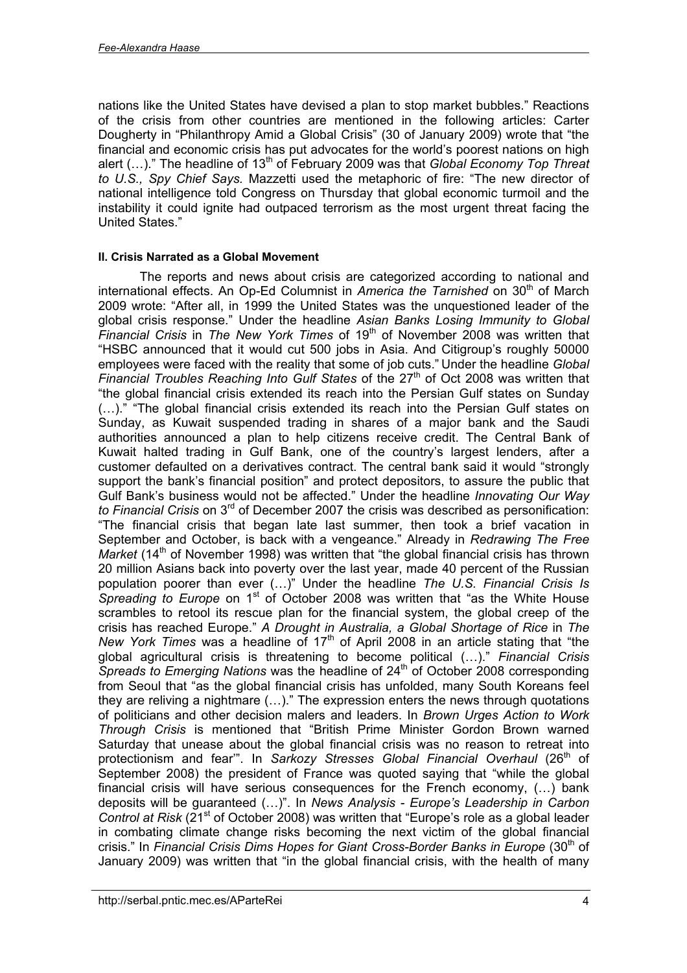nations like the United States have devised a plan to stop market bubbles." Reactions of the crisis from other countries are mentioned in the following articles: Carter Dougherty in "Philanthropy Amid a Global Crisis" (30 of January 2009) wrote that "the financial and economic crisis has put advocates for the world's poorest nations on high alert (...)." The headline of 13<sup>th</sup> of February 2009 was that *Global Economy Top Threat to U.S., Spy Chief Says.* Mazzetti used the metaphoric of fire: "The new director of national intelligence told Congress on Thursday that global economic turmoil and the instability it could ignite had outpaced terrorism as the most urgent threat facing the United States."

#### **II. Crisis Narrated as a Global Movement**

The reports and news about crisis are categorized according to national and international effects. An Op-Ed Columnist in *America the Tarnished* on 30<sup>th</sup> of March 2009 wrote: "After all, in 1999 the United States was the unquestioned leader of the global crisis response." Under the headline *Asian Banks Losing Immunity to Global Financial Crisis* in *The New York Times* of 19<sup>th</sup> of November 2008 was written that "HSBC announced that it would cut 500 jobs in Asia. And Citigroup's roughly 50000 employees were faced with the reality that some of job cuts." Under the headline *Global* Financial Troubles Reaching Into Gulf States of the 27<sup>th</sup> of Oct 2008 was written that "the global financial crisis extended its reach into the Persian Gulf states on Sunday (…)." "The global financial crisis extended its reach into the Persian Gulf states on Sunday, as Kuwait suspended trading in shares of a major bank and the Saudi authorities announced a plan to help citizens receive credit. The Central Bank of Kuwait halted trading in Gulf Bank, one of the country's largest lenders, after a customer defaulted on a derivatives contract. The central bank said it would "strongly support the bank's financial position" and protect depositors, to assure the public that Gulf Bank's business would not be affected." Under the headline *Innovating Our Way to Financial Crisis* on 3rd of December 2007 the crisis was described as personification: "The financial crisis that began late last summer, then took a brief vacation in September and October, is back with a vengeance." Already in *Redrawing The Free Market* (14<sup>th</sup> of November 1998) was written that "the global financial crisis has thrown 20 million Asians back into poverty over the last year, made 40 percent of the Russian population poorer than ever (…)" Under the headline *The U.S. Financial Crisis Is* Spreading to Europe on 1<sup>st</sup> of October 2008 was written that "as the White House scrambles to retool its rescue plan for the financial system, the global creep of the crisis has reached Europe." *A Drought in Australia, a Global Shortage of Rice* in *The New York Times* was a headline of 17<sup>th</sup> of April 2008 in an article stating that "the global agricultural crisis is threatening to become political (…)." *Financial Crisis Spreads to Emerging Nations* was the headline of 24<sup>th</sup> of October 2008 corresponding from Seoul that "as the global financial crisis has unfolded, many South Koreans feel they are reliving a nightmare (…)." The expression enters the news through quotations of politicians and other decision malers and leaders. In *Brown Urges Action to Work Through Crisis* is mentioned that "British Prime Minister Gordon Brown warned Saturday that unease about the global financial crisis was no reason to retreat into protectionism and fear<sup>3</sup>. In Sarkozy Stresses Global Financial Overhaul (26<sup>th</sup> of September 2008) the president of France was quoted saying that "while the global financial crisis will have serious consequences for the French economy, (…) bank deposits will be guaranteed (…)". In *News Analysis - Europe's Leadership in Carbon Control at Risk* (21<sup>st</sup> of October 2008) was written that "Europe's role as a global leader in combating climate change risks becoming the next victim of the global financial crisis." In *Financial Crisis Dims Hopes for Giant Cross-Border Banks in Europe* (30th of January 2009) was written that "in the global financial crisis, with the health of many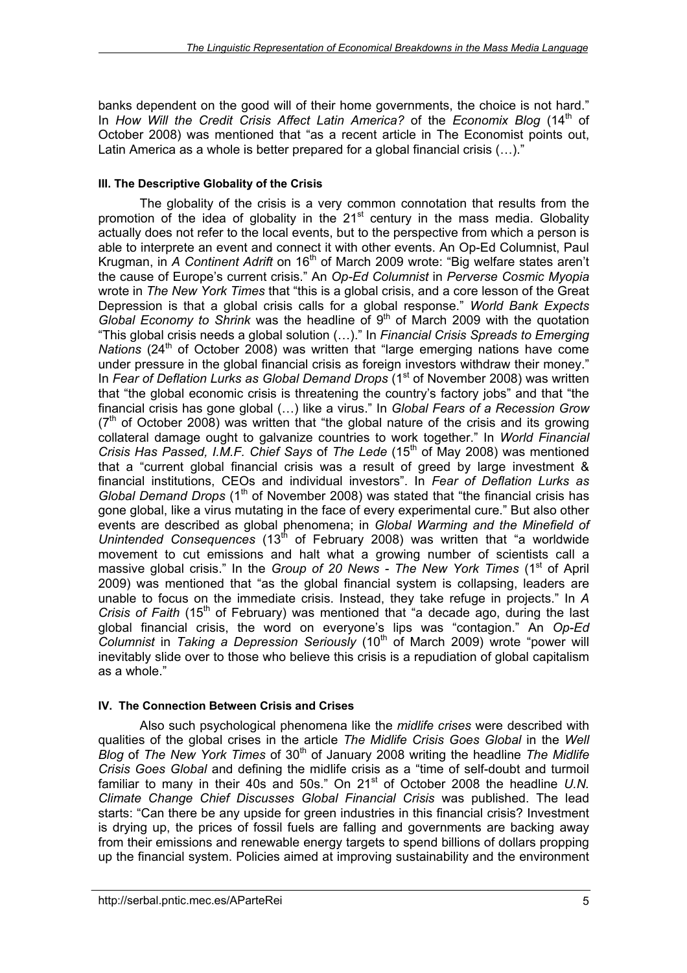banks dependent on the good will of their home governments, the choice is not hard." In *How Will the Credit Crisis Affect Latin America?* of the *Economix Blog* (14<sup>th</sup> of October 2008) was mentioned that "as a recent article in The Economist points out, Latin America as a whole is better prepared for a global financial crisis (…)."

### **III. The Descriptive Globality of the Crisis**

The globality of the crisis is a very common connotation that results from the promotion of the idea of globality in the  $21<sup>st</sup>$  century in the mass media. Globality actually does not refer to the local events, but to the perspective from which a person is able to interprete an event and connect it with other events. An Op-Ed Columnist, Paul Krugman, in *A Continent Adrift* on 16th of March 2009 wrote: "Big welfare states aren't the cause of Europe's current crisis." An *Op-Ed Columnist* in *Perverse Cosmic Myopia* wrote in *The New York Times* that "this is a global crisis, and a core lesson of the Great Depression is that a global crisis calls for a global response." *World Bank Expects Global Economy to Shrink* was the headline of 9<sup>th</sup> of March 2009 with the quotation "This global crisis needs a global solution (…)." In *Financial Crisis Spreads to Emerging Nations* (24<sup>th</sup> of October 2008) was written that "large emerging nations have come under pressure in the global financial crisis as foreign investors withdraw their money." In Fear of Deflation Lurks as Global Demand Drops (1<sup>st</sup> of November 2008) was written that "the global economic crisis is threatening the country's factory jobs" and that "the financial crisis has gone global (…) like a virus." In *Global Fears of a Recession Grow*  $(7<sup>th</sup>$  of October 2008) was written that "the global nature of the crisis and its growing collateral damage ought to galvanize countries to work together." In *World Financial Crisis Has Passed, I.M.F. Chief Says of The Lede* (15<sup>th</sup> of May 2008) was mentioned that a "current global financial crisis was a result of greed by large investment & financial institutions, CEOs and individual investors". In *Fear of Deflation Lurks as Global Demand Drops* (1<sup>th</sup> of November 2008) was stated that "the financial crisis has gone global, like a virus mutating in the face of every experimental cure." But also other events are described as global phenomena; in *Global Warming and the Minefield of Unintended Consequences* (13<sup>th</sup> of February 2008) was written that "a worldwide movement to cut emissions and halt what a growing number of scientists call a massive global crisis." In the *Group of 20 News - The New York Times* (1<sup>st</sup> of April 2009) was mentioned that "as the global financial system is collapsing, leaders are unable to focus on the immediate crisis. Instead, they take refuge in projects." In *A Crisis of Faith* (15<sup>th</sup> of February) was mentioned that "a decade ago, during the last global financial crisis, the word on everyone's lips was "contagion." An *Op-Ed Columnist* in *Taking a Depression Seriously* (10th of March 2009) wrote "power will inevitably slide over to those who believe this crisis is a repudiation of global capitalism as a whole."

### **IV. The Connection Between Crisis and Crises**

Also such psychological phenomena like the *midlife crises* were described with qualities of the global crises in the article *The Midlife Crisis Goes Global* in the *Well Blog* of *The New York Times* of 30<sup>th</sup> of January 2008 writing the headline *The Midlife Crisis Goes Global* and defining the midlife crisis as a "time of self-doubt and turmoil familiar to many in their 40s and 50s." On 21<sup>st</sup> of October 2008 the headline U.N. *Climate Change Chief Discusses Global Financial Crisis* was published. The lead starts: "Can there be any upside for green industries in this financial crisis? Investment is drying up, the prices of fossil fuels are falling and governments are backing away from their emissions and renewable energy targets to spend billions of dollars propping up the financial system. Policies aimed at improving sustainability and the environment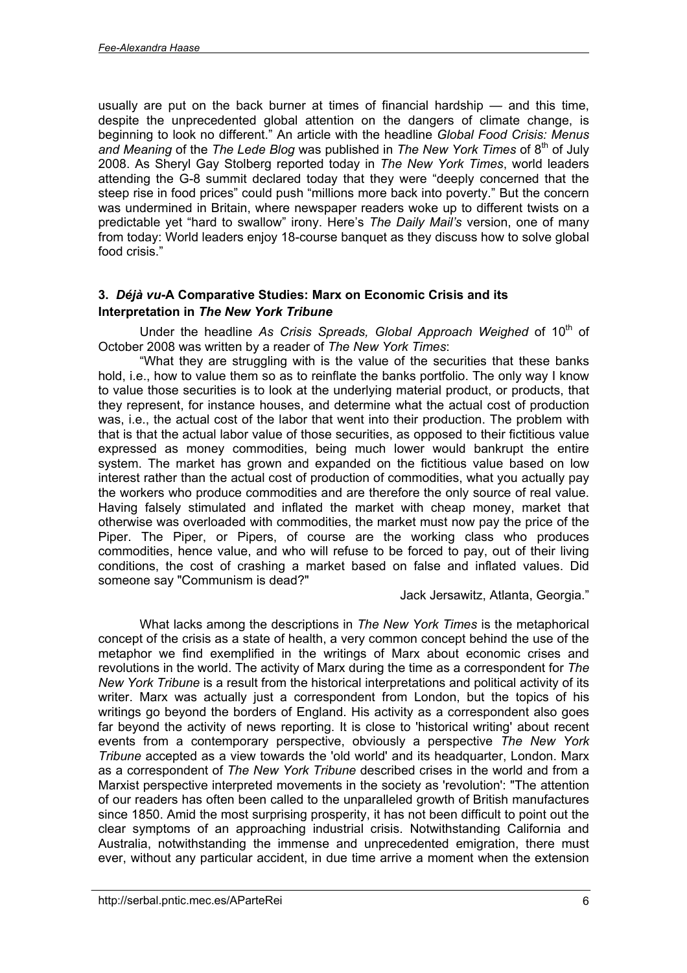usually are put on the back burner at times of financial hardship — and this time, despite the unprecedented global attention on the dangers of climate change, is beginning to look no different." An article with the headline *Global Food Crisis: Menus* and Meaning of the *The Lede Blog* was published in *The New York Times* of 8<sup>th</sup> of July 2008. As Sheryl Gay Stolberg reported today in *The New York Times*, world leaders attending the G-8 summit declared today that they were "deeply concerned that the steep rise in food prices" could push "millions more back into poverty." But the concern was undermined in Britain, where newspaper readers woke up to different twists on a predictable yet "hard to swallow" irony. Here's *The Daily Mail's* version, one of many from today: World leaders enjoy 18-course banquet as they discuss how to solve global food crisis."

### **3.** *Déjà vu***-A Comparative Studies: Marx on Economic Crisis and its Interpretation in** *The New York Tribune*

Under the headline As Crisis Spreads, Global Approach Weighed of 10<sup>th</sup> of October 2008 was written by a reader of *The New York Times*:

"What they are struggling with is the value of the securities that these banks hold, i.e., how to value them so as to reinflate the banks portfolio. The only way I know to value those securities is to look at the underlying material product, or products, that they represent, for instance houses, and determine what the actual cost of production was, i.e., the actual cost of the labor that went into their production. The problem with that is that the actual labor value of those securities, as opposed to their fictitious value expressed as money commodities, being much lower would bankrupt the entire system. The market has grown and expanded on the fictitious value based on low interest rather than the actual cost of production of commodities, what you actually pay the workers who produce commodities and are therefore the only source of real value. Having falsely stimulated and inflated the market with cheap money, market that otherwise was overloaded with commodities, the market must now pay the price of the Piper. The Piper, or Pipers, of course are the working class who produces commodities, hence value, and who will refuse to be forced to pay, out of their living conditions, the cost of crashing a market based on false and inflated values. Did someone say "Communism is dead?"

Jack Jersawitz, Atlanta, Georgia."

What lacks among the descriptions in *The New York Times* is the metaphorical concept of the crisis as a state of health, a very common concept behind the use of the metaphor we find exemplified in the writings of Marx about economic crises and revolutions in the world. The activity of Marx during the time as a correspondent for *The New York Tribune* is a result from the historical interpretations and political activity of its writer. Marx was actually just a correspondent from London, but the topics of his writings go beyond the borders of England. His activity as a correspondent also goes far beyond the activity of news reporting. It is close to 'historical writing' about recent events from a contemporary perspective, obviously a perspective *The New York Tribune* accepted as a view towards the 'old world' and its headquarter, London. Marx as a correspondent of *The New York Tribune* described crises in the world and from a Marxist perspective interpreted movements in the society as 'revolution': "The attention of our readers has often been called to the unparalleled growth of British manufactures since 1850. Amid the most surprising prosperity, it has not been difficult to point out the clear symptoms of an approaching industrial crisis. Notwithstanding California and Australia, notwithstanding the immense and unprecedented emigration, there must ever, without any particular accident, in due time arrive a moment when the extension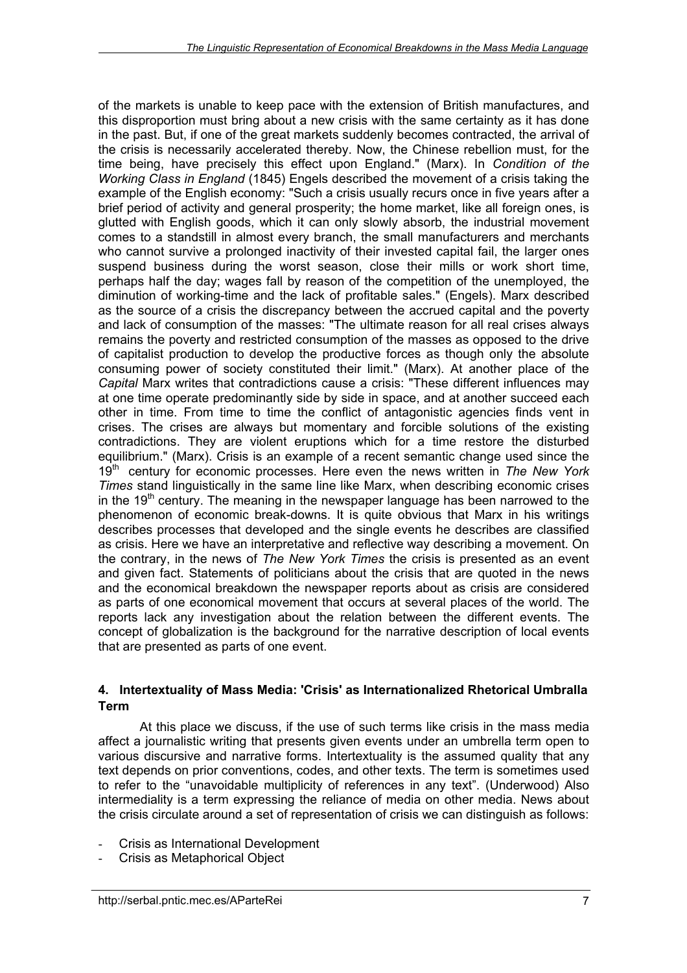of the markets is unable to keep pace with the extension of British manufactures, and this disproportion must bring about a new crisis with the same certainty as it has done in the past. But, if one of the great markets suddenly becomes contracted, the arrival of the crisis is necessarily accelerated thereby. Now, the Chinese rebellion must, for the time being, have precisely this effect upon England." (Marx). In *Condition of the Working Class in England* (1845) Engels described the movement of a crisis taking the example of the English economy: "Such a crisis usually recurs once in five years after a brief period of activity and general prosperity; the home market, like all foreign ones, is glutted with English goods, which it can only slowly absorb, the industrial movement comes to a standstill in almost every branch, the small manufacturers and merchants who cannot survive a prolonged inactivity of their invested capital fail, the larger ones suspend business during the worst season, close their mills or work short time, perhaps half the day; wages fall by reason of the competition of the unemployed, the diminution of working-time and the lack of profitable sales." (Engels). Marx described as the source of a crisis the discrepancy between the accrued capital and the poverty and lack of consumption of the masses: "The ultimate reason for all real crises always remains the poverty and restricted consumption of the masses as opposed to the drive of capitalist production to develop the productive forces as though only the absolute consuming power of society constituted their limit." (Marx). At another place of the *Capital* Marx writes that contradictions cause a crisis: "These different influences may at one time operate predominantly side by side in space, and at another succeed each other in time. From time to time the conflict of antagonistic agencies finds vent in crises. The crises are always but momentary and forcible solutions of the existing contradictions. They are violent eruptions which for a time restore the disturbed equilibrium." (Marx). Crisis is an example of a recent semantic change used since the 19th century for economic processes. Here even the news written in *The New York Times* stand linguistically in the same line like Marx, when describing economic crises in the 19<sup>th</sup> century. The meaning in the newspaper language has been narrowed to the phenomenon of economic break-downs. It is quite obvious that Marx in his writings describes processes that developed and the single events he describes are classified as crisis. Here we have an interpretative and reflective way describing a movement. On the contrary, in the news of *The New York Times* the crisis is presented as an event and given fact. Statements of politicians about the crisis that are quoted in the news and the economical breakdown the newspaper reports about as crisis are considered as parts of one economical movement that occurs at several places of the world. The reports lack any investigation about the relation between the different events. The concept of globalization is the background for the narrative description of local events that are presented as parts of one event.

### **4. Intertextuality of Mass Media: 'Crisis' as Internationalized Rhetorical Umbralla Term**

At this place we discuss, if the use of such terms like crisis in the mass media affect a journalistic writing that presents given events under an umbrella term open to various discursive and narrative forms. Intertextuality is the assumed quality that any text depends on prior conventions, codes, and other texts. The term is sometimes used to refer to the "unavoidable multiplicity of references in any text". (Underwood) Also intermediality is a term expressing the reliance of media on other media. News about the crisis circulate around a set of representation of crisis we can distinguish as follows:

- Crisis as International Development
- Crisis as Metaphorical Object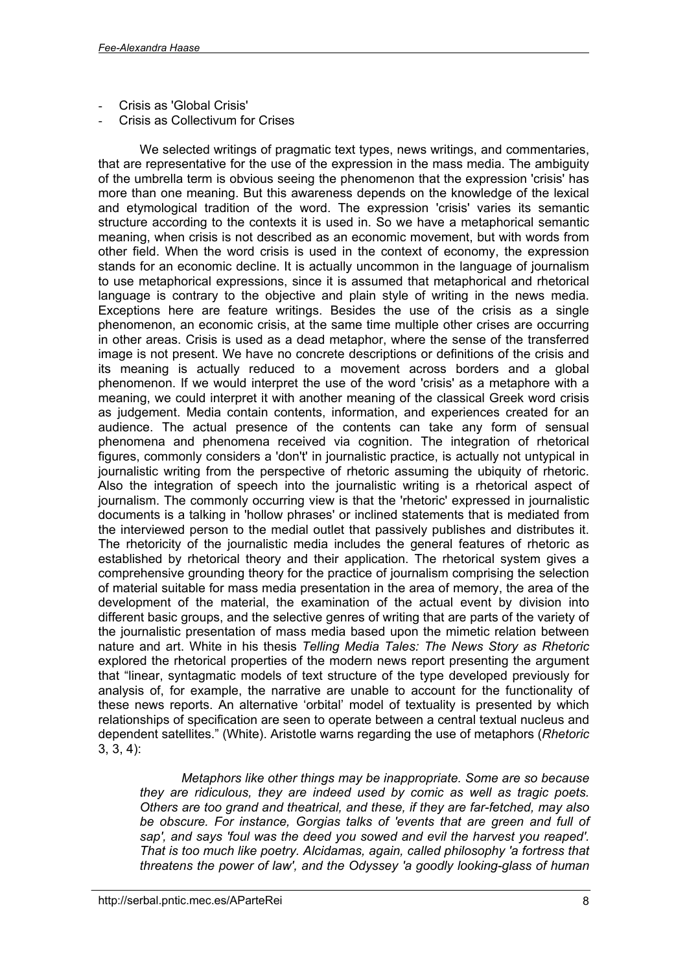- Crisis as 'Global Crisis'
- Crisis as Collectivum for Crises

We selected writings of pragmatic text types, news writings, and commentaries, that are representative for the use of the expression in the mass media. The ambiguity of the umbrella term is obvious seeing the phenomenon that the expression 'crisis' has more than one meaning. But this awareness depends on the knowledge of the lexical and etymological tradition of the word. The expression 'crisis' varies its semantic structure according to the contexts it is used in. So we have a metaphorical semantic meaning, when crisis is not described as an economic movement, but with words from other field. When the word crisis is used in the context of economy, the expression stands for an economic decline. It is actually uncommon in the language of journalism to use metaphorical expressions, since it is assumed that metaphorical and rhetorical language is contrary to the objective and plain style of writing in the news media. Exceptions here are feature writings. Besides the use of the crisis as a single phenomenon, an economic crisis, at the same time multiple other crises are occurring in other areas. Crisis is used as a dead metaphor, where the sense of the transferred image is not present. We have no concrete descriptions or definitions of the crisis and its meaning is actually reduced to a movement across borders and a global phenomenon. If we would interpret the use of the word 'crisis' as a metaphore with a meaning, we could interpret it with another meaning of the classical Greek word crisis as judgement. Media contain contents, information, and experiences created for an audience. The actual presence of the contents can take any form of sensual phenomena and phenomena received via cognition. The integration of rhetorical figures, commonly considers a 'don't' in journalistic practice, is actually not untypical in journalistic writing from the perspective of rhetoric assuming the ubiquity of rhetoric. Also the integration of speech into the journalistic writing is a rhetorical aspect of journalism. The commonly occurring view is that the 'rhetoric' expressed in journalistic documents is a talking in 'hollow phrases' or inclined statements that is mediated from the interviewed person to the medial outlet that passively publishes and distributes it. The rhetoricity of the journalistic media includes the general features of rhetoric as established by rhetorical theory and their application. The rhetorical system gives a comprehensive grounding theory for the practice of journalism comprising the selection of material suitable for mass media presentation in the area of memory, the area of the development of the material, the examination of the actual event by division into different basic groups, and the selective genres of writing that are parts of the variety of the journalistic presentation of mass media based upon the mimetic relation between nature and art. White in his thesis *Telling Media Tales: The News Story as Rhetoric* explored the rhetorical properties of the modern news report presenting the argument that "linear, syntagmatic models of text structure of the type developed previously for analysis of, for example, the narrative are unable to account for the functionality of these news reports. An alternative 'orbital' model of textuality is presented by which relationships of specification are seen to operate between a central textual nucleus and dependent satellites." (White). Aristotle warns regarding the use of metaphors (*Rhetoric* 3, 3, 4):

*Metaphors like other things may be inappropriate. Some are so because they are ridiculous, they are indeed used by comic as well as tragic poets. Others are too grand and theatrical, and these, if they are far-fetched, may also be obscure. For instance, Gorgias talks of 'events that are green and full of sap', and says 'foul was the deed you sowed and evil the harvest you reaped'. That is too much like poetry. Alcidamas, again, called philosophy 'a fortress that threatens the power of law', and the Odyssey 'a goodly looking-glass of human*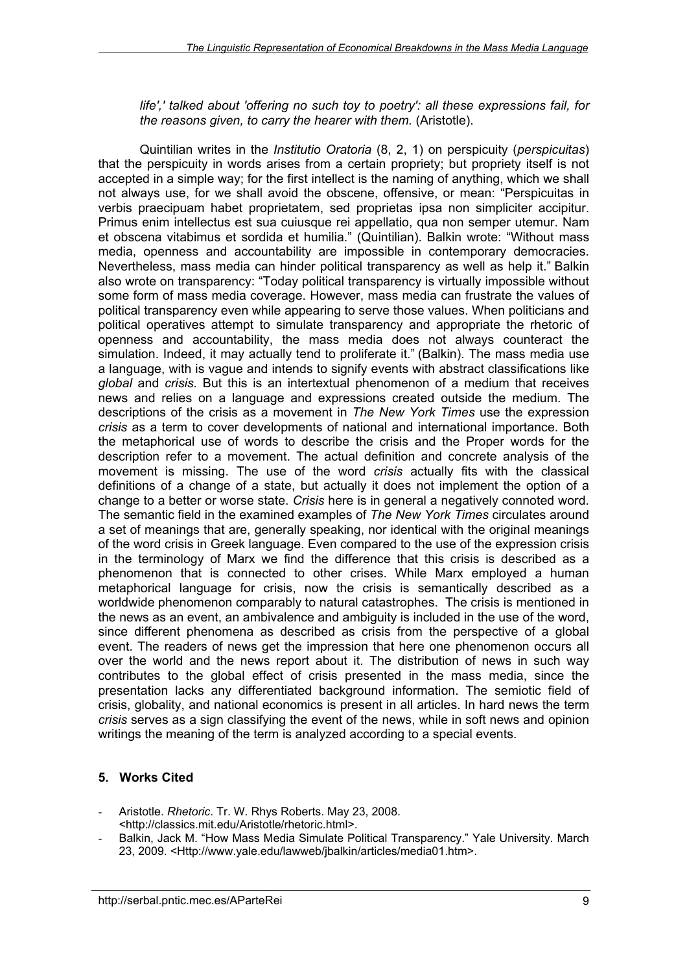#### *life',' talked about 'offering no such toy to poetry': all these expressions fail, for the reasons given, to carry the hearer with them.* (Aristotle).

Quintilian writes in the *Institutio Oratoria* (8, 2, 1) on perspicuity (*perspicuitas*) that the perspicuity in words arises from a certain propriety; but propriety itself is not accepted in a simple way; for the first intellect is the naming of anything, which we shall not always use, for we shall avoid the obscene, offensive, or mean: "Perspicuitas in verbis praecipuam habet proprietatem, sed proprietas ipsa non simpliciter accipitur. Primus enim intellectus est sua cuiusque rei appellatio, qua non semper utemur. Nam et obscena vitabimus et sordida et humilia." (Quintilian). Balkin wrote: "Without mass media, openness and accountability are impossible in contemporary democracies. Nevertheless, mass media can hinder political transparency as well as help it." Balkin also wrote on transparency: "Today political transparency is virtually impossible without some form of mass media coverage. However, mass media can frustrate the values of political transparency even while appearing to serve those values. When politicians and political operatives attempt to simulate transparency and appropriate the rhetoric of openness and accountability, the mass media does not always counteract the simulation. Indeed, it may actually tend to proliferate it." (Balkin). The mass media use a language, with is vague and intends to signify events with abstract classifications like *global* and *crisis.* But this is an intertextual phenomenon of a medium that receives news and relies on a language and expressions created outside the medium. The descriptions of the crisis as a movement in *The New York Times* use the expression *crisis* as a term to cover developments of national and international importance. Both the metaphorical use of words to describe the crisis and the Proper words for the description refer to a movement. The actual definition and concrete analysis of the movement is missing. The use of the word *crisis* actually fits with the classical definitions of a change of a state, but actually it does not implement the option of a change to a better or worse state. *Crisis* here is in general a negatively connoted word. The semantic field in the examined examples of *The New York Times* circulates around a set of meanings that are, generally speaking, nor identical with the original meanings of the word crisis in Greek language. Even compared to the use of the expression crisis in the terminology of Marx we find the difference that this crisis is described as a phenomenon that is connected to other crises. While Marx employed a human metaphorical language for crisis, now the crisis is semantically described as a worldwide phenomenon comparably to natural catastrophes. The crisis is mentioned in the news as an event, an ambivalence and ambiguity is included in the use of the word, since different phenomena as described as crisis from the perspective of a global event. The readers of news get the impression that here one phenomenon occurs all over the world and the news report about it. The distribution of news in such way contributes to the global effect of crisis presented in the mass media, since the presentation lacks any differentiated background information. The semiotic field of crisis, globality, and national economics is present in all articles. In hard news the term *crisis* serves as a sign classifying the event of the news, while in soft news and opinion writings the meaning of the term is analyzed according to a special events.

## **5. Works Cited**

- Aristotle. *Rhetoric*. Tr. W. Rhys Roberts. May 23, 2008. <<http://classics.mit.edu/Aristotle/rhetoric.html>>.
- Balkin, Jack M. "How Mass Media Simulate Political Transparency." Yale University. March 23, 2009. [<Http://www.yale.edu/lawweb/jbalkin/articles/media01.htm>.](Http://www.yale.edu/lawweb/jbalkin/articles/media01.htm>.)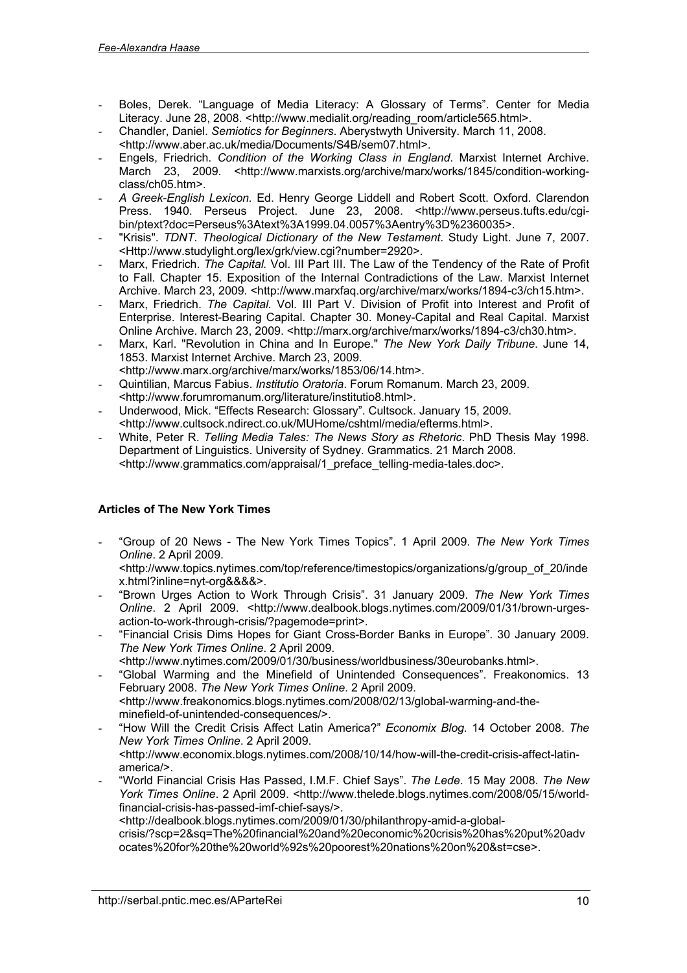- Boles, Derek. "Language of Media Literacy: A Glossary of Terms". Center for Media Literacy. June 28, 2008. [<http://www.medialit.org/reading\\_room/article565.html](http://www.medialit.org/reading_room/article565.html)>.
- Chandler, Daniel. *Semiotics for Beginners*. Aberystwyth University. March 11, 2008.
- <<http://www.aber.ac.uk/media/Documents/S4B/sem07.html>>.
- Engels, Friedrich. *Condition of the Working Class in England*. Marxist Internet Archive. [March 23, 2009. <http://www.marxists.org/archive/marx/works/1845/condition-workin](http://www.marxists.org/archive/marx/works/1845/condition-workingclass/ch05.htm)gclass/ch05.htm>.
- *A Greek-English Lexicon.* Ed. Henry George Liddell and Robert Scott. Oxford. Clarendon [Press. 1940. Perseus Project. June 23, 2008. <http://www.perseus.tufts.edu/cg](http://www.perseus.tufts.edu/cgibin/ptext?doc=Perseus%3Atext%3A1999.04.0057%3Aentry%3D%2360035)ibin/ptext?doc=Perseus%3Atext%3A1999.04.0057%3Aentry%3D%2360035>.
- "Krisis". *TDNT. Theological Dictionary of the New Testament*. Study Light. June 7, 2007. <<Http://www.studylight.org/lex/grk/view.cgi?number=2920>>.
- Marx, Friedrich. The Capital. Vol. III Part III. The Law of the Tendency of the Rate of Profit to Fall. Chapter 15. Exposition of the Internal Contradictions of the Law. Marxist Internet Archive. March 23, 2009. <<http://www.marxfaq.org/archive/marx/works/1894-c3/ch15.htm>>.
- Marx, Friedrich. *The Capital.* Vol. III Part V. Division of Profit into Interest and Profit of Enterprise. Interest-Bearing Capital. Chapter 30. Money-Capital and Real Capital. Marxist Online Archive. March 23, 2009. <<http://marx.org/archive/marx/works/1894-c3/ch30.htm>>.
- Marx, Karl. "Revolution in China and In Europe." *The New York Daily Tribune*. June 14, 1853. Marxist Internet Archive. March 23, 2009.
- <<http://www.marx.org/archive/marx/works/1853/06/14.htm>>.
- Quintilian, Marcus Fabius. *Institutio Oratoria*. Forum Romanum. March 23, 2009. <<http://www.forumromanum.org/literature/institutio8.html>>.
- Underwood, Mick. "Effects Research: Glossary". Cultsock. January 15, 2009. <<http://www.cultsock.ndirect.co.uk/MUHome/cshtml/media/efterms.html>>.
- White, Peter R. *Telling Media Tales: The News Story as Rhetoric*. PhD Thesis May 1998. Department of Linguistics. University of Sydney. Grammatics. 21 March 2008. <[http://www.grammatics.com/appraisal/1\\_preface\\_telling-media-tales.doc](http://www.grammatics.com/appraisal/1_preface_telling-media-tales.doc)>.

### **Articles of The New York Times**

- "Group of 20 News - The New York Times Topics". 1 April 2009. *The New York Times Online*. 2 April 2009.

<[http://www.topics.nytimes.com/top/reference/timestopics/organizations/g/group\\_of\\_20/inde](http://www.topics.nytimes.com/top/reference/timestopics/organizations/g/group_of_20/inde) x.html?inline=nyt-org&&&&>.

- "Brown Urges Action to Work Through Crisis". 31 January 2009. *The New York Times Online*[. 2 April 2009. <http://www.dealbook.blogs.nytimes.com/2009/01/31/brown-urge](http://www.dealbook.blogs.nytimes.com/2009/01/31/brown-urgesaction-to-work-through-crisis/?pagemode=print)saction-to-work-through-crisis/?pagemode=print>.
- "Financial Crisis Dims Hopes for Giant Cross-Border Banks in Europe". 30 January 2009. *The New York Times Online*. 2 April 2009.
	- <<http://www.nytimes.com/2009/01/30/business/worldbusiness/30eurobanks.html>>.
- "Global Warming and the Minefield of Unintended Consequences". Freakonomics. 13 February 2008. *The New York Times Online*. 2 April 2009. [<http://www.freakonomics.blogs.nytimes.com/2008/02/13/global-warming-and-th](http://www.freakonomics.blogs.nytimes.com/2008/02/13/global-warming-and-theminefield-of-unintended-consequences/)eminefield-of-unintended-consequences/>.
- "How Will the Credit Crisis Affect Latin America?" *Economix Blog.* 14 October 2008. *The New York Times Online*. 2 April 2009. [<http://www.economix.blogs.nytimes.com/2008/10/14/how-will-the-credit-crisis-affect-lati](http://www.economix.blogs.nytimes.com/2008/10/14/how-will-the-credit-crisis-affect-latinamerica/)namerica/>.
- "World Financial Crisis Has Passed, I.M.F. Chief Says". *The Lede*. 15 May 2008. *The New* York Times Online[. 2 April 2009. <http://www.thelede.blogs.nytimes.com/2008/05/15/worl](http://www.thelede.blogs.nytimes.com/2008/05/15/worldfinancial-crisis-has-passed-imf-chief-says/)dfinancial-crisis-has-passed-imf-chief-says/>.

<http://dealbook.blogs.nytimes.com/2009/01/30/philanthropy-amid-a-global-

[crisis/?scp=2&sq=The%20financial%20and%20economic%20crisis%20has%20put%20adv](http://dealbook.blogs.nytimes.com/2009/01/30/philanthropy-amid-a-globalcrisis/?scp=2&sq=The%20financial%20and%20economic%20crisis%20has%20put%20adv) ocates%20for%20the%20world%92s%20poorest%20nations%20on%20&st=cse>.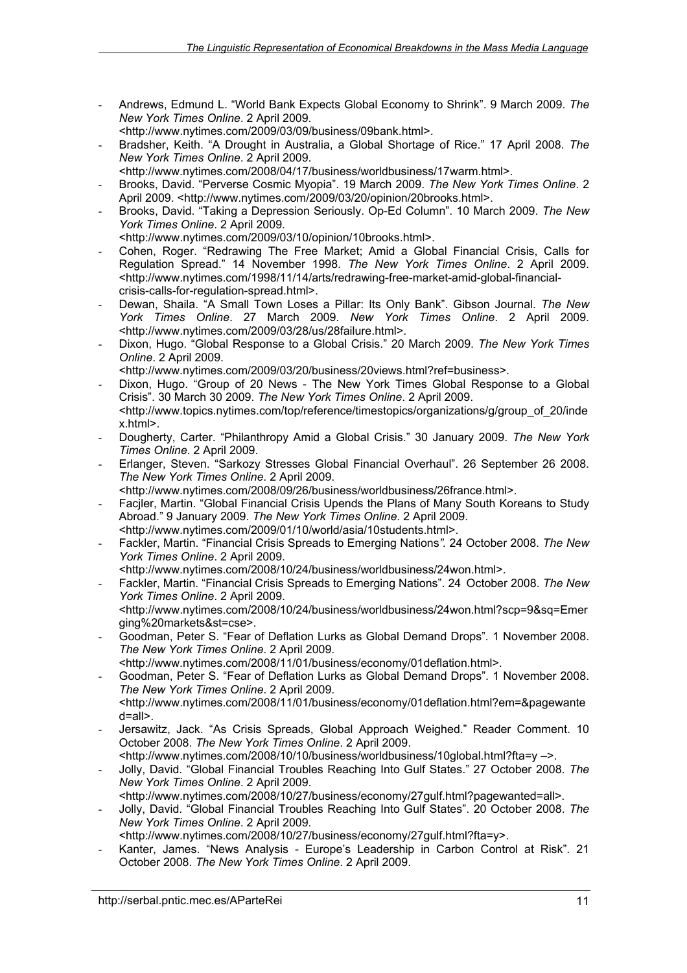- Andrews, Edmund L. "World Bank Expects Global Economy to Shrink". 9 March 2009. *The New York Times Online*. 2 April 2009.

<<http://www.nytimes.com/2009/03/09/business/09bank.html>>.

- Bradsher, Keith. "A Drought in Australia, a Global Shortage of Rice." 17 April 2008. *The New York Times Online*. 2 April 2009.

<<http://www.nytimes.com/2008/04/17/business/worldbusiness/17warm.html>>.

- Brooks, David. "Perverse Cosmic Myopia". 19 March 2009. *The New York Times Online*. 2 April 2009. <<http://www.nytimes.com/2009/03/20/opinion/20brooks.html>>.
- Brooks, David. "Taking a Depression Seriously. Op-Ed Column". 10 March 2009. *The New York Times Online*. 2 April 2009.

<<http://www.nytimes.com/2009/03/10/opinion/10brooks.html>>.

- Cohen, Roger. "Redrawing The Free Market; Amid a Global Financial Crisis, Calls for Regulation Spread." 14 November 1998. *The New York Times Online*. 2 April 2009. [<http://www.nytimes.com/1998/11/14/arts/redrawing-free-market-amid-global-financia](http://www.nytimes.com/1998/11/14/arts/redrawing-free-market-amid-global-financialcrisis-calls-for-regulation-spread.html)lcrisis-calls-for-regulation-spread.html>.
- Dewan, Shaila. "A Small Town Loses a Pillar: Its Only Bank". Gibson Journal. *The New York Times Online*. 27 March 2009. *New York Times Online*. 2 April 2009. <<http://www.nytimes.com/2009/03/28/us/28failure.html>>.
- Dixon, Hugo. "Global Response to a Global Crisis." 20 March 2009. *The New York Times Online*. 2 April 2009.

<<http://www.nytimes.com/2009/03/20/business/20views.html?ref=business>>.

- Dixon, Hugo. "Group of 20 News The New York Times Global Response to a Global Crisis". 30 March 30 2009. *The New York Times Online*. 2 April 2009. <[http://www.topics.nytimes.com/top/reference/timestopics/organizations/g/group\\_of\\_20/inde](http://www.topics.nytimes.com/top/reference/timestopics/organizations/g/group_of_20/inde)
- x.html>.
- Dougherty, Carter. "Philanthropy Amid a Global Crisis." 30 January 2009. *The New York Times Online*. 2 April 2009.
- Erlanger, Steven. "Sarkozy Stresses Global Financial Overhaul". 26 September 26 2008. *The New York Times Online*. 2 April 2009.
- <<http://www.nytimes.com/2008/09/26/business/worldbusiness/26france.html>>.
- Facjler, Martin. "Global Financial Crisis Upends the Plans of Many South Koreans to Study Abroad." 9 January 2009. *The New York Times Online*. 2 April 2009.
- <<http://www.nytimes.com/2009/01/10/world/asia/10students.html>>.
- Fackler, Martin. "Financial Crisis Spreads to Emerging Nations*".* 24 October 2008. *The New York Times Online*. 2 April 2009.
- <<http://www.nytimes.com/2008/10/24/business/worldbusiness/24won.html>>.
- Fackler, Martin. "Financial Crisis Spreads to Emerging Nations". 24 October 2008. *The New York Times Online*. 2 April 2009.

<<http://www.nytimes.com/2008/10/24/business/worldbusiness/24won.html?scp=9&sq=Emer> ging%20markets&st=cse>.

- Goodman, Peter S. "Fear of Deflation Lurks as Global Demand Drops"*.* 1 November 2008. *The New York Times Online*. 2 April 2009.

<<http://www.nytimes.com/2008/11/01/business/economy/01deflation.html>>.

- Goodman, Peter S. "Fear of Deflation Lurks as Global Demand Drops". 1 November 2008. *The New York Times Online*. 2 April 2009. <<http://www.nytimes.com/2008/11/01/business/economy/01deflation.html?em=&pagewante>
- d=all>.
- Jersawitz, Jack. "As Crisis Spreads, Global Approach Weighed." Reader Comment. 10 October 2008. *The New York Times Online*. 2 April 2009. <<http://www.nytimes.com/2008/10/10/business/worldbusiness/10global.html?fta=y>–>.
- Jolly, David. "Global Financial Troubles Reaching Into Gulf States." 27 October 2008. *The*
- *New York Times Online*. 2 April 2009. <<http://www.nytimes.com/2008/10/27/business/economy/27gulf.html?pagewanted=all>>.
- Jolly, David. "Global Financial Troubles Reaching Into Gulf States". 20 October 2008. *The New York Times Online*. 2 April 2009.

<<http://www.nytimes.com/2008/10/27/business/economy/27gulf.html?fta=y>>.

- Kanter, James. "News Analysis - Europe's Leadership in Carbon Control at Risk". 21 October 2008. *The New York Times Online*. 2 April 2009.